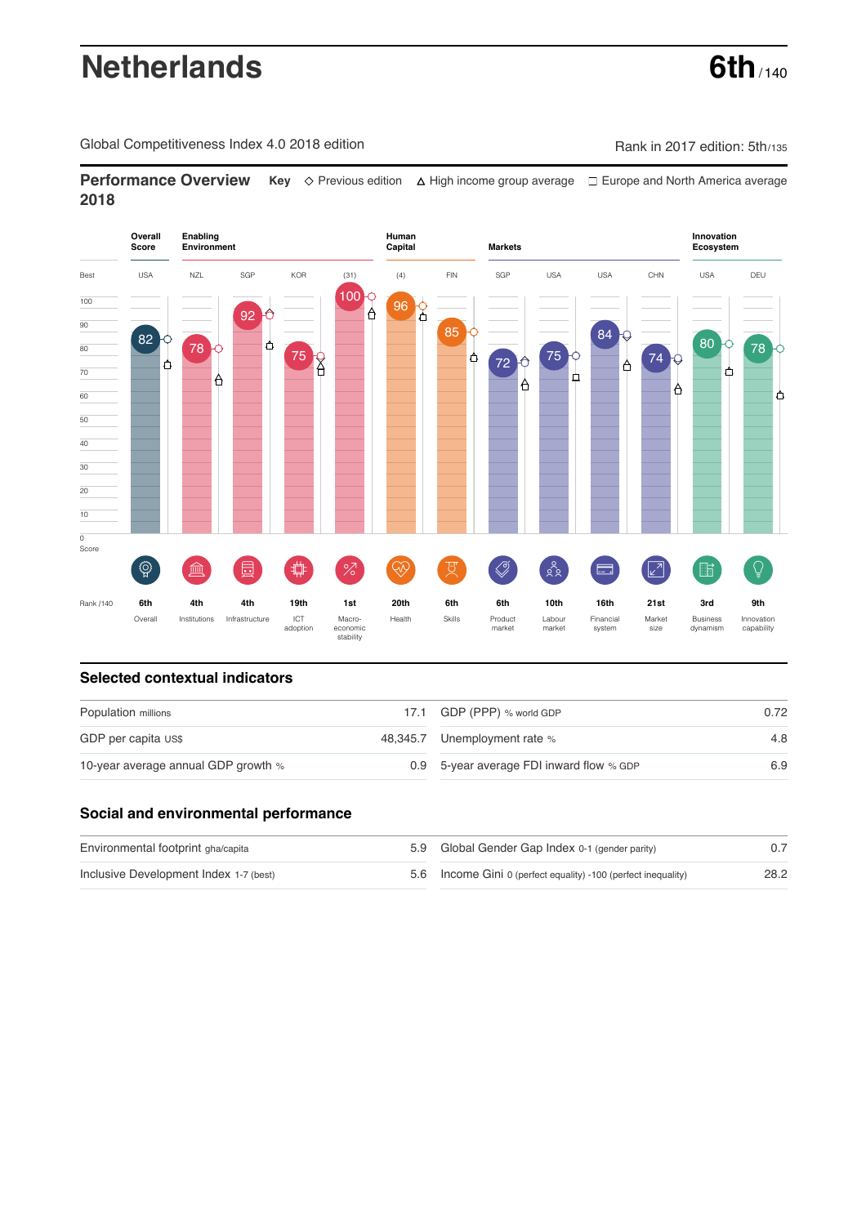# **Netherlands 6th** / 140

Global Competitiveness Index 4.0 2018 edition Company Rank in 2017 edition: 5th/135

**Performance Overview** Key  $\Diamond$  Previous edition ∆ High income group average  $\Box$  Europe and North America average **2018**



## **Selected contextual indicators**

| Population millions                 | 17.1 GDP (PPP) % world GDP               | 0.72 |  |
|-------------------------------------|------------------------------------------|------|--|
| GDP per capita US\$                 | 48,345.7 Unemployment rate %             | 4.8  |  |
| 10-year average annual GDP growth % | 0.9 5-year average FDI inward flow % GDP | 6.9  |  |

#### **Social and environmental performance**

| Environmental footprint gha/capita     | 5.9 Global Gender Gap Index 0-1 (gender parity)                |      |
|----------------------------------------|----------------------------------------------------------------|------|
| Inclusive Development Index 1-7 (best) | 5.6 Income Gini 0 (perfect equality) -100 (perfect inequality) | 28.2 |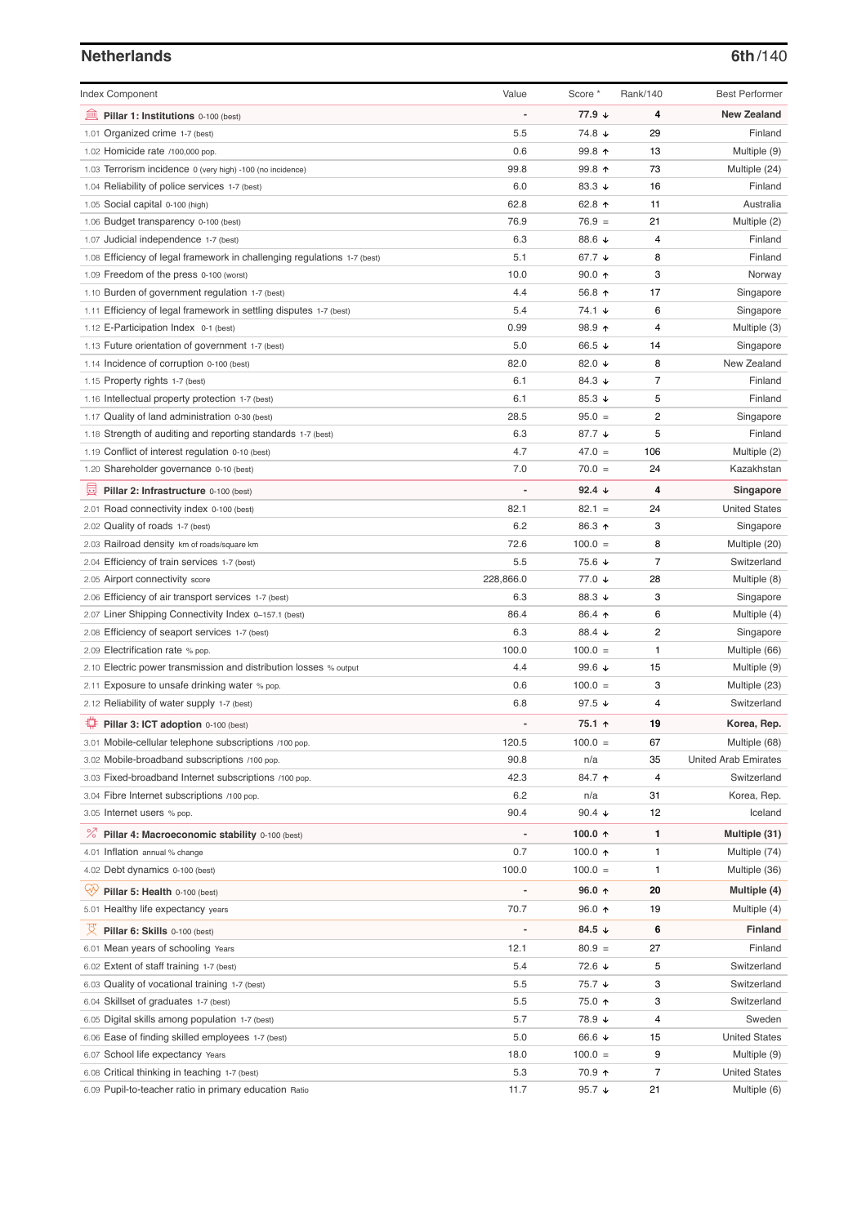## **Netherlands 6th**/140

| <b>Index Component</b>                                                   | Value                    | Score *          | Rank/140 | <b>Best Performer</b>       |
|--------------------------------------------------------------------------|--------------------------|------------------|----------|-----------------------------|
| 寙<br>Pillar 1: Institutions 0-100 (best)                                 |                          | 77.9 ↓           | 4        | <b>New Zealand</b>          |
| Organized crime 1-7 (best)<br>1.01                                       | 5.5                      | 74.8 ↓           | 29       | Finland                     |
| 1.02 Homicide rate /100,000 pop.                                         | 0.6                      | 99.8 个           | 13       | Multiple (9)                |
| 1.03 Terrorism incidence 0 (very high) -100 (no incidence)               | 99.8                     | 99.8 个           | 73       | Multiple (24)               |
| 1.04 Reliability of police services 1-7 (best)                           | 6.0                      | 83.3 $\sqrt{ }$  | 16       | Finland                     |
| 1.05 Social capital 0-100 (high)                                         | 62.8                     | 62.8 ↑           | 11       | Australia                   |
| 1.06 Budget transparency 0-100 (best)                                    | 76.9                     | $76.9 =$         | 21       | Multiple (2)                |
| 1.07 Judicial independence 1-7 (best)                                    | 6.3                      | 88.6 ↓           | 4        | Finland                     |
| 1.08 Efficiency of legal framework in challenging regulations 1-7 (best) | 5.1                      | 67.7 ↓           | 8        | Finland                     |
| 1.09 Freedom of the press 0-100 (worst)                                  | 10.0                     | $90.0 \text{ A}$ | 3        | Norway                      |
| 1.10 Burden of government regulation 1-7 (best)                          | 4.4                      | 56.8 ↑           | 17       | Singapore                   |
| 1.11 Efficiency of legal framework in settling disputes 1-7 (best)       | 5.4                      | 74.1 ↓           | 6        | Singapore                   |
| 1.12 E-Participation Index 0-1 (best)                                    | 0.99                     | 98.9 个           | 4        | Multiple (3)                |
| 1.13 Future orientation of government 1-7 (best)                         | 5.0                      | 66.5 ↓           | 14       | Singapore                   |
| 1.14 Incidence of corruption 0-100 (best)                                | 82.0                     | 82.0 $\sqrt{ }$  | 8        | New Zealand                 |
| 1.15 Property rights 1-7 (best)                                          | 6.1                      | 84.3 ↓           | 7        | Finland                     |
| 1.16 Intellectual property protection 1-7 (best)                         | 6.1                      | 85.3 $\sqrt{ }$  | 5        | Finland                     |
| 1.17 Quality of land administration 0-30 (best)                          | 28.5                     | $95.0 =$         | 2        | Singapore                   |
| 1.18 Strength of auditing and reporting standards 1-7 (best)             | 6.3                      | 87.7 ↓           | 5        | Finland                     |
| 1.19 Conflict of interest regulation 0-10 (best)                         | 4.7                      | $47.0 =$         | 106      | Multiple (2)                |
| 1.20 Shareholder governance 0-10 (best)                                  | 7.0                      | $70.0 =$         | 24       | Kazakhstan                  |
| 員<br>Pillar 2: Infrastructure 0-100 (best)                               |                          | 92.4 $\sqrt{ }$  | 4        | Singapore                   |
| 2.01 Road connectivity index 0-100 (best)                                | 82.1                     | $82.1 =$         | 24       | <b>United States</b>        |
| 2.02 Quality of roads 1-7 (best)                                         | 6.2                      | 86.3 ↑           | 3        | Singapore                   |
| 2.03 Railroad density km of roads/square km                              | 72.6                     | $100.0 =$        | 8        | Multiple (20)               |
| 2.04 Efficiency of train services 1-7 (best)                             | 5.5                      | 75.6 ↓           | 7        | Switzerland                 |
| 2.05 Airport connectivity score                                          | 228,866.0                | 77.0 ↓           | 28       | Multiple (8)                |
| 2.06 Efficiency of air transport services 1-7 (best)                     | 6.3                      | 88.3 ↓           | 3        | Singapore                   |
| 2.07 Liner Shipping Connectivity Index 0-157.1 (best)                    | 86.4                     | 86.4 ↑           | 6        | Multiple (4)                |
| 2.08 Efficiency of seaport services 1-7 (best)                           | 6.3                      | 88.4 ↓           | 2        | Singapore                   |
| 2.09 Electrification rate % pop.                                         | 100.0                    | $100.0 =$        | 1        | Multiple (66)               |
| 2.10 Electric power transmission and distribution losses % output        | 4.4                      | 99.6 $\sqrt{ }$  | 15       | Multiple (9)                |
| 2.11 Exposure to unsafe drinking water % pop.                            | 0.6                      | $100.0 =$        | 3        | Multiple (23)               |
| 2.12 Reliability of water supply 1-7 (best)                              | 6.8                      | 97.5 $\sqrt{ }$  | 4        | Switzerland                 |
| O<br>Pillar 3: ICT adoption 0-100 (best)                                 |                          | 75.1 ↑           | 19       | Korea, Rep.                 |
| 3.01 Mobile-cellular telephone subscriptions /100 pop.                   | 120.5                    | $100.0 =$        | 67       | Multiple (68)               |
| 3.02 Mobile-broadband subscriptions /100 pop.                            | 90.8                     | n/a              | 35       | <b>United Arab Emirates</b> |
| 3.03 Fixed-broadband Internet subscriptions /100 pop.                    | 42.3                     | 84.7 ተ           | 4        | Switzerland                 |
| 3.04 Fibre Internet subscriptions /100 pop.                              | 6.2                      | n/a              | 31       | Korea, Rep.                 |
| 3.05 Internet users % pop.                                               | 90.4                     | 90.4 $\sqrt{ }$  | 12       | Iceland                     |
| ℅<br>Pillar 4: Macroeconomic stability 0-100 (best)                      | $\overline{\phantom{a}}$ | 100.0 ↑          | 1        | Multiple (31)               |
| 4.01 Inflation annual % change                                           | 0.7                      | 100.0 $\uparrow$ | 1        | Multiple (74)               |
| 4.02 Debt dynamics 0-100 (best)                                          | 100.0                    | $100.0 =$        | 1        | Multiple (36)               |
| Qv<br>Pillar 5: Health 0-100 (best)                                      |                          | 96.0 ↑           | 20       | Multiple (4)                |
| 5.01 Healthy life expectancy years                                       | 70.7                     | 96.0 个           | 19       | Multiple (4)                |
| 섯<br>Pillar 6: Skills 0-100 (best)                                       | $\overline{a}$           | 84.5 $\sqrt{ }$  | 6        | Finland                     |
| 6.01 Mean years of schooling Years                                       | 12.1                     | $80.9 =$         | 27       | Finland                     |
| 6.02 Extent of staff training 1-7 (best)                                 | 5.4                      | 72.6 ↓           | 5        | Switzerland                 |
| 6.03 Quality of vocational training 1-7 (best)                           | 5.5                      | 75.7 ↓           | 3        | Switzerland                 |
| 6.04 Skillset of graduates 1-7 (best)                                    | 5.5                      | 75.0 个           | 3        | Switzerland                 |
| 6.05 Digital skills among population 1-7 (best)                          | 5.7                      | 78.9 ↓           | 4        | Sweden                      |
| 6.06 Ease of finding skilled employees 1-7 (best)                        | 5.0                      | 66.6 ↓           | 15       | <b>United States</b>        |
| 6.07 School life expectancy Years                                        | 18.0                     | $100.0 =$        | 9        | Multiple (9)                |
| 6.08 Critical thinking in teaching 1-7 (best)                            | 5.3                      | 70.9 ↑           | 7        | <b>United States</b>        |
| 6.09 Pupil-to-teacher ratio in primary education Ratio                   | 11.7                     | 95.7 $\sqrt{ }$  | 21       | Multiple (6)                |